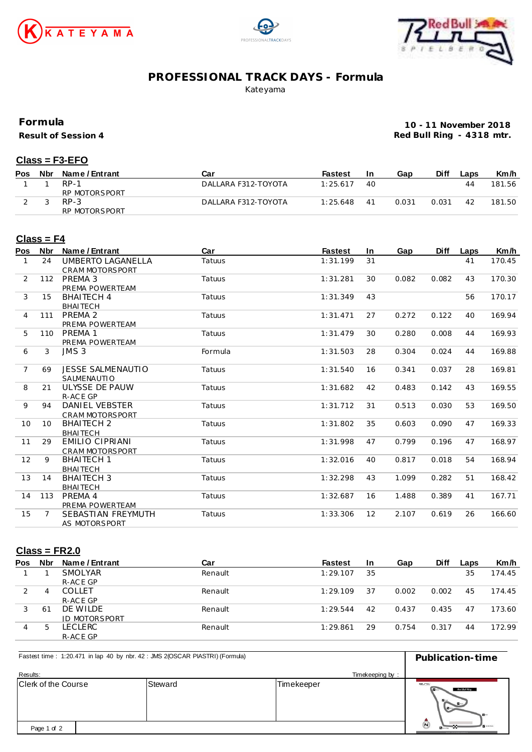





## **PROFESSIONAL TRACK DAYS - Formula**

Kateyama

**Formula**

**Result of Session 4**

**10 - 11 November 2018 Red Bull Ring - 4318 mtr.**

#### **Class = F3-EFO**

| <b>Pos</b> | Nbr | Name / Entrant | Car                 | <b>Fastest</b> | In | Gap   | Diff  | Laps | Km/h   |
|------------|-----|----------------|---------------------|----------------|----|-------|-------|------|--------|
|            |     | $RP-1$         | DALLARA F312-TOYOTA | 1:25.617       | 40 |       |       | 44   | 181.56 |
|            |     | RP MOTORSPORT  |                     |                |    |       |       |      |        |
|            |     | $RP-3$         | DALLARA F312-TOYOTA | 1:25.648       | 41 | 0.031 | 0.031 | 42   | 181.50 |
|            |     | RP MOTORSPORT  |                     |                |    |       |       |      |        |

#### **Class = F4**

| Pos            | <b>Nbr</b> | Name / Entrant                            | Car     | <b>Fastest</b> | In. | Gap   | <b>Diff</b> | Laps | Km/h   |
|----------------|------------|-------------------------------------------|---------|----------------|-----|-------|-------------|------|--------|
| $\mathbf{1}$   | 24         | UMBERTO LAGANELLA<br>CRAM MOTORSPORT      | Tatuus  | 1:31.199       | 31  |       |             | 41   | 170.45 |
| 2              | 112        | PREMA 3<br>PREMA POWERTEAM                | Tatuus  | 1:31.281       | 30  | 0.082 | 0.082       | 43   | 170.30 |
| 3              | 15         | <b>BHAITECH 4</b><br><b>BHAITECH</b>      | Tatuus  | 1:31.349       | 43  |       |             | 56   | 170.17 |
| $\overline{4}$ | 111        | PREMA 2<br>PREMA POWERTEAM                | Tatuus  | 1:31.471       | 27  | 0.272 | 0.122       | 40   | 169.94 |
| 5              | 110        | PREMA 1<br>PREMA POWERTEAM                | Tatuus  | 1:31.479       | 30  | 0.280 | 0.008       | 44   | 169.93 |
| 6              | 3          | JMS 3                                     | Formula | 1:31.503       | 28  | 0.304 | 0.024       | 44   | 169.88 |
| $\overline{7}$ | 69         | <b>JESSE SALMENAUTIO</b><br>SALMENAUTIO   | Tatuus  | 1:31.540       | 16  | 0.341 | 0.037       | 28   | 169.81 |
| 8              | 21         | ULYSSE DE PAUW<br>R-ACE GP                | Tatuus  | 1:31.682       | 42  | 0.483 | 0.142       | 43   | 169.55 |
| 9              | 94         | DANIEL VEBSTER<br>CRAM MOTORSPORT         | Tatuus  | 1:31.712       | 31  | 0.513 | 0.030       | 53   | 169.50 |
| 10             | 10         | <b>BHAITECH 2</b><br><b>BHAITECH</b>      | Tatuus  | 1:31.802       | 35  | 0.603 | 0.090       | 47   | 169.33 |
| 11             | 29         | EMILIO CIPRIANI<br><b>CRAM MOTORSPORT</b> | Tatuus  | 1:31.998       | 47  | 0.799 | 0.196       | 47   | 168.97 |
| 12             | 9          | <b>BHAITECH 1</b><br><b>BHAITECH</b>      | Tatuus  | 1:32.016       | 40  | 0.817 | 0.018       | 54   | 168.94 |
| 13             | 14         | <b>BHAITECH 3</b><br><b>BHAITECH</b>      | Tatuus  | 1:32.298       | 43  | 1.099 | 0.282       | 51   | 168.42 |
| 14             | 113        | PREMA 4<br>PREMA POWERTEAM                | Tatuus  | 1:32.687       | 16  | 1.488 | 0.389       | 41   | 167.71 |
| 15             |            | SEBASTIAN FREYMUTH<br>AS MOTORSPORT       | Tatuus  | 1:33.306       | 12  | 2.107 | 0.619       | 26   | 166.60 |

#### **Class = FR2.0**

| Pos | Nbr          | Name / Entrant | Car     | <b>Fastest</b> | -In | Gap   | <b>Diff</b> | Laps | Km/h   |
|-----|--------------|----------------|---------|----------------|-----|-------|-------------|------|--------|
|     |              | SMOLYAR        | Renault | 1:29.107       | 35  |       |             | 35   | 174.45 |
|     |              | R-ACE GP       |         |                |     |       |             |      |        |
|     | 4            | <b>COLLET</b>  | Renault | 1:29.109       | 37  | 0.002 | 0.002       | 45   | 174.45 |
|     |              | R-ACE GP       |         |                |     |       |             |      |        |
|     | -61          | DE WILDE       | Renault | 1:29.544       | 42  | 0.437 | 0.435       | 47   | 173.60 |
|     |              | JD MOTORSPORT  |         |                |     |       |             |      |        |
| 4   | <sub>5</sub> | LECLERC        | Renault | 1:29.861       | 29  | 0.754 | 0.317       | 44   | 172.99 |
|     |              | R-ACE GP       |         |                |     |       |             |      |        |

| Fastest time: 1:20.471 in lap 40 by nbr. 42 : JMS 2(OSCAR PIASTRI) (Formula) | Publication-time |                 |                                                                                       |
|------------------------------------------------------------------------------|------------------|-----------------|---------------------------------------------------------------------------------------|
| Results:                                                                     |                  | Timekeeping by: |                                                                                       |
| Clerk of the Course                                                          | Steward          | Timekeeper      | erc<br>Red Bull Ring<br>$B -$<br>$\blacksquare$                                       |
| Page 1 of 2                                                                  |                  |                 | $\bar{\mathbb{O}}$<br><b>B</b> ureau<br>NAT'LL WITH AN IT WAS ARRESTED FOR TAXABLE OF |